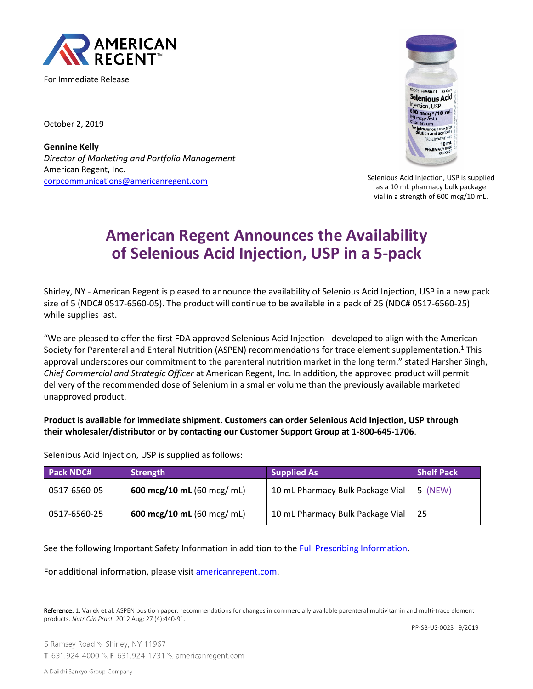

For Immediate Release

October 2, 2019

**Gennine Kelly** *Director of Marketing and Portfolio Management* American Regent, Inc. [corpcommunications@americanregent.com](mailto:corpcommunications@americanregent.com)



Selenious Acid Injection, USP is supplied as a 10 mL pharmacy bulk package vial in a strength of 600 mcg/10 mL.

# **American Regent Announces the Availability of Selenious Acid Injection, USP in a 5-pack**

Shirley, NY - American Regent is pleased to announce the availability of Selenious Acid Injection, USP in a new pack size of 5 (NDC# 0517-6560-05). The product will continue to be available in a pack of 25 (NDC# 0517-6560-25) while supplies last.

"We are pleased to offer the first FDA approved Selenious Acid Injection - developed to align with the American Society for Parenteral and Enteral Nutrition (ASPEN) recommendations for trace element supplementation.<sup>1</sup> This approval underscores our commitment to the parenteral nutrition market in the long term." stated Harsher Singh, *Chief Commercial and Strategic Officer* at American Regent, Inc. In addition, the approved product will permit delivery of the recommended dose of Selenium in a smaller volume than the previously available marketed unapproved product.

# **Product is available for immediate shipment. Customers can order Selenious Acid Injection, USP through their wholesaler/distributor or by contacting our Customer Support Group at 1-800-645-1706**.

Selenious Acid Injection, USP is supplied as follows:

| <b>Pack NDC#</b> | Strength                             | <b>Supplied As</b>               | <b>Shelf Pack</b> |
|------------------|--------------------------------------|----------------------------------|-------------------|
| 0517-6560-05     | 600 mcg/10 mL $(60 \text{ mcg/mol})$ | 10 mL Pharmacy Bulk Package Vial | 5 (NEW)           |
| 0517-6560-25     | 600 mcg/10 mL $(60 \text{ mcg/mL})$  | 10 mL Pharmacy Bulk Package Vial | -25               |

See the following Important Safety Information in addition to the [Full Prescribing Information.](https://www.americanregent.com/our-products/selenious-acid-injection-usp/)

For additional information, please visit [americanregent.com.](https://www.americanregent.com/our-products/selenious-acid-injection-usp/)

Reference: 1. Vanek et al. ASPEN position paper: recommendations for changes in commercially available parenteral multivitamin and multi-trace element products. *Nutr Clin Pract.* 2012 Aug; 27 (4):440-91.

PP-SB-US-0023 9/2019

5 Ramsey Road \\ Shirley, NY 11967 T 631.924.4000 \\ F 631.924.1731 \\ americanregent.com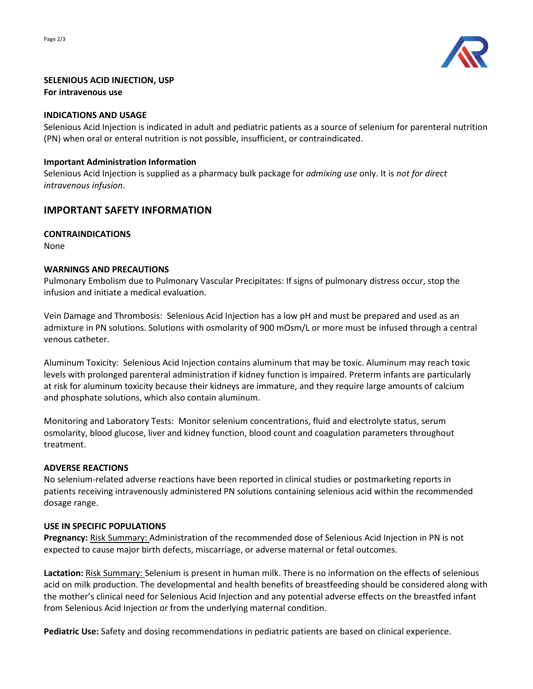

## **SELENIOUS ACID INJECTION, USP**

#### **For intravenous use**

## **INDICATIONS AND USAGE**

Selenious Acid Injection is indicated in adult and pediatric patients as a source of selenium for parenteral nutrition (PN) when oral or enteral nutrition is not possible, insufficient, or contraindicated.

## **Important Administration Information**

Selenious Acid Injection is supplied as a pharmacy bulk package for *admixing use* only. It is *not for direct intravenous infusion*.

# **IMPORTANT SAFETY INFORMATION**

## **CONTRAINDICATIONS**

None

## **WARNINGS AND PRECAUTIONS**

Pulmonary Embolism due to Pulmonary Vascular Precipitates: If signs of pulmonary distress occur, stop the infusion and initiate a medical evaluation.

Vein Damage and Thrombosis: Selenious Acid Injection has a low pH and must be prepared and used as an admixture in PN solutions. Solutions with osmolarity of 900 mOsm/L or more must be infused through a central venous catheter.

Aluminum Toxicity: Selenious Acid Injection contains aluminum that may be toxic. Aluminum may reach toxic levels with prolonged parenteral administration if kidney function is impaired. Preterm infants are particularly at risk for aluminum toxicity because their kidneys are immature, and they require large amounts of calcium and phosphate solutions, which also contain aluminum.

Monitoring and Laboratory Tests: Monitor selenium concentrations, fluid and electrolyte status, serum osmolarity, blood glucose, liver and kidney function, blood count and coagulation parameters throughout treatment.

#### **ADVERSE REACTIONS**

No selenium-related adverse reactions have been reported in clinical studies or postmarketing reports in patients receiving intravenously administered PN solutions containing selenious acid within the recommended dosage range.

#### **USE IN SPECIFIC POPULATIONS**

**Pregnancy:** Risk Summary: Administration of the recommended dose of Selenious Acid Injection in PN is not expected to cause major birth defects, miscarriage, or adverse maternal or fetal outcomes.

Lactation: Risk Summary: Selenium is present in human milk. There is no information on the effects of selenious acid on milk production. The developmental and health benefits of breastfeeding should be considered along with the mother's clinical need for Selenious Acid Injection and any potential adverse effects on the breastfed infant from Selenious Acid Injection or from the underlying maternal condition.

**Pediatric Use:** Safety and dosing recommendations in pediatric patients are based on clinical experience.